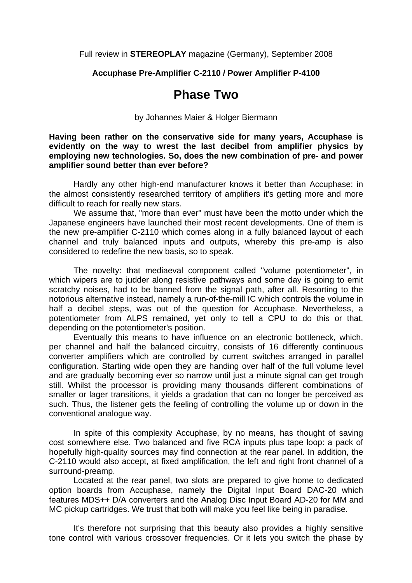Full review in **STEREOPLAY** magazine (Germany), September 2008

**Accuphase Pre-Amplifier C-2110 / Power Amplifier P-4100** 

## **Phase Two**

by Johannes Maier & Holger Biermann

**Having been rather on the conservative side for many years, Accuphase is evidently on the way to wrest the last decibel from amplifier physics by employing new technologies. So, does the new combination of pre- and power amplifier sound better than ever before?** 

 Hardly any other high-end manufacturer knows it better than Accuphase: in the almost consistently researched territory of amplifiers it's getting more and more difficult to reach for really new stars.

 We assume that, "more than ever" must have been the motto under which the Japanese engineers have launched their most recent developments. One of them is the new pre-amplifier C-2110 which comes along in a fully balanced layout of each channel and truly balanced inputs and outputs, whereby this pre-amp is also considered to redefine the new basis, so to speak.

 The novelty: that mediaeval component called "volume potentiometer", in which wipers are to judder along resistive pathways and some day is going to emit scratchy noises, had to be banned from the signal path, after all. Resorting to the notorious alternative instead, namely a run-of-the-mill IC which controls the volume in half a decibel steps, was out of the question for Accuphase. Nevertheless, a potentiometer from ALPS remained, yet only to tell a CPU to do this or that, depending on the potentiometer's position.

 Eventually this means to have influence on an electronic bottleneck, which, per channel and half the balanced circuitry, consists of 16 differently continuous converter amplifiers which are controlled by current switches arranged in parallel configuration. Starting wide open they are handing over half of the full volume level and are gradually becoming ever so narrow until just a minute signal can get trough still. Whilst the processor is providing many thousands different combinations of smaller or lager transitions, it yields a gradation that can no longer be perceived as such. Thus, the listener gets the feeling of controlling the volume up or down in the conventional analogue way.

 In spite of this complexity Accuphase, by no means, has thought of saving cost somewhere else. Two balanced and five RCA inputs plus tape loop: a pack of hopefully high-quality sources may find connection at the rear panel. In addition, the C-2110 would also accept, at fixed amplification, the left and right front channel of a surround-preamp.

 Located at the rear panel, two slots are prepared to give home to dedicated option boards from Accuphase, namely the Digital Input Board DAC-20 which features MDS++ D/A converters and the Analog Disc Input Board AD-20 for MM and MC pickup cartridges. We trust that both will make you feel like being in paradise.

 It's therefore not surprising that this beauty also provides a highly sensitive tone control with various crossover frequencies. Or it lets you switch the phase by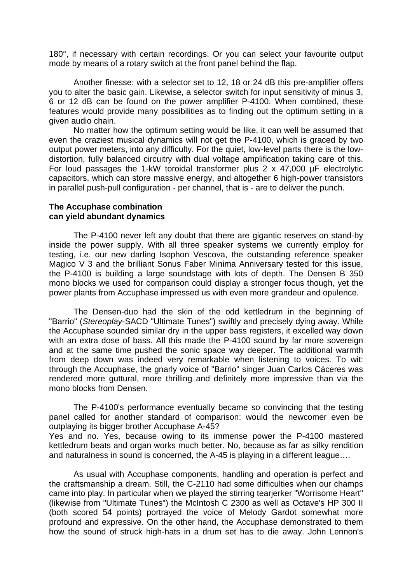180°, if necessary with certain recordings. Or you can select your favourite output mode by means of a rotary switch at the front panel behind the flap.

 Another finesse: with a selector set to 12, 18 or 24 dB this pre-amplifier offers you to alter the basic gain. Likewise, a selector switch for input sensitivity of minus 3, 6 or 12 dB can be found on the power amplifier P-4100. When combined, these features would provide many possibilities as to finding out the optimum setting in a given audio chain.

 No matter how the optimum setting would be like, it can well be assumed that even the craziest musical dynamics will not get the P-4100, which is graced by two output power meters, into any difficulty. For the quiet, low-level parts there is the lowdistortion, fully balanced circuitry with dual voltage amplification taking care of this. For loud passages the 1-kW toroidal transformer plus 2 x 47,000 µF electrolytic capacitors, which can store massive energy, and altogether 6 high-power transistors in parallel push-pull configuration - per channel, that is - are to deliver the punch.

## **The Accuphase combination can yield abundant dynamics**

 The P-4100 never left any doubt that there are gigantic reserves on stand-by inside the power supply. With all three speaker systems we currently employ for testing, i.e. our new darling Isophon Vescova, the outstanding reference speaker Magico V 3 and the brilliant Sonus Faber Minima Anniversary tested for this issue, the P-4100 is building a large soundstage with lots of depth. The Densen B 350 mono blocks we used for comparison could display a stronger focus though, yet the power plants from Accuphase impressed us with even more grandeur and opulence.

 The Densen-duo had the skin of the odd kettledrum in the beginning of "Barrio" (*Stereoplay*-SACD "Ultimate Tunes") swiftly and precisely dying away. While the Accuphase sounded similar dry in the upper bass registers, it excelled way down with an extra dose of bass. All this made the P-4100 sound by far more sovereign and at the same time pushed the sonic space way deeper. The additional warmth from deep down was indeed very remarkable when listening to voices. To wit: through the Accuphase, the gnarly voice of "Barrio" singer Juan Carlos Cáceres was rendered more guttural, more thrilling and definitely more impressive than via the mono blocks from Densen.

 The P-4100's performance eventually became so convincing that the testing panel called for another standard of comparison: would the newcomer even be outplaying its bigger brother Accuphase A-45?

Yes and no. Yes, because owing to its immense power the P-4100 mastered kettledrum beats and organ works much better. No, because as far as silky rendition and naturalness in sound is concerned, the A-45 is playing in a different league….

 As usual with Accuphase components, handling and operation is perfect and the craftsmanship a dream. Still, the C-2110 had some difficulties when our champs came into play. In particular when we played the stirring tearjerker "Worrisome Heart" (likewise from "Ultimate Tunes") the McIntosh C 2300 as well as Octave's HP 300 II (both scored 54 points) portrayed the voice of Melody Gardot somewhat more profound and expressive. On the other hand, the Accuphase demonstrated to them how the sound of struck high-hats in a drum set has to die away. John Lennon's